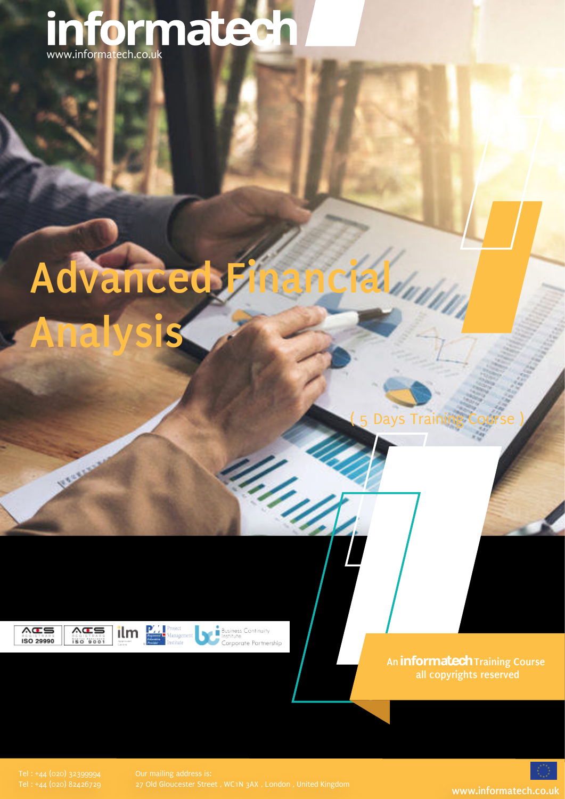## www.informatech.co.uk

# **Advanced Financial**

Days Training Course

ISO 29990

 $AG =$ 

**Canada** 



**Analysis**



Business Continuity Corporate Partnership

1. Ing

**An informatech** Training Course **all copyrights reserved**

27 Old Gloucester Street , WC1N 3AX , London , United Kingdom **www.informatech.co.uk**

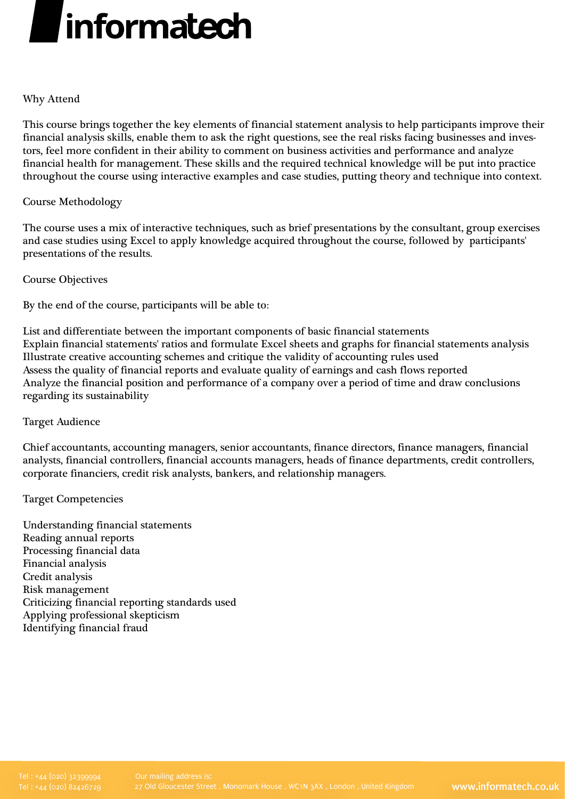

#### Why Attend

This course brings together the key elements of financial statement analysis to help participants improve their financial analysis skills, enable them to ask the right questions, see the real risks facing businesses and investors, feel more confident in their ability to comment on business activities and performance and analyze financial health for management. These skills and the required technical knowledge will be put into practice throughout the course using interactive examples and case studies, putting theory and technique into context.

#### Course Methodology

The course uses a mix of interactive techniques, such as brief presentations by the consultant, group exercises and case studies using Excel to apply knowledge acquired throughout the course, followed by participants' presentations of the results.

Course Objectives

By the end of the course, participants will be able to:

List and differentiate between the important components of basic financial statements Explain financial statements' ratios and formulate Excel sheets and graphs for financial statements analysis Illustrate creative accounting schemes and critique the validity of accounting rules used Assess the quality of financial reports and evaluate quality of earnings and cash flows reported Analyze the financial position and performance of a company over a period of time and draw conclusions regarding its sustainability

#### Target Audience

Chief accountants, accounting managers, senior accountants, finance directors, finance managers, financial analysts, financial controllers, financial accounts managers, heads of finance departments, credit controllers, corporate financiers, credit risk analysts, bankers, and relationship managers.

#### Target Competencies

Understanding financial statements Reading annual reports Processing financial data Financial analysis Credit analysis Risk management Criticizing financial reporting standards used Applying professional skepticism Identifying financial fraud